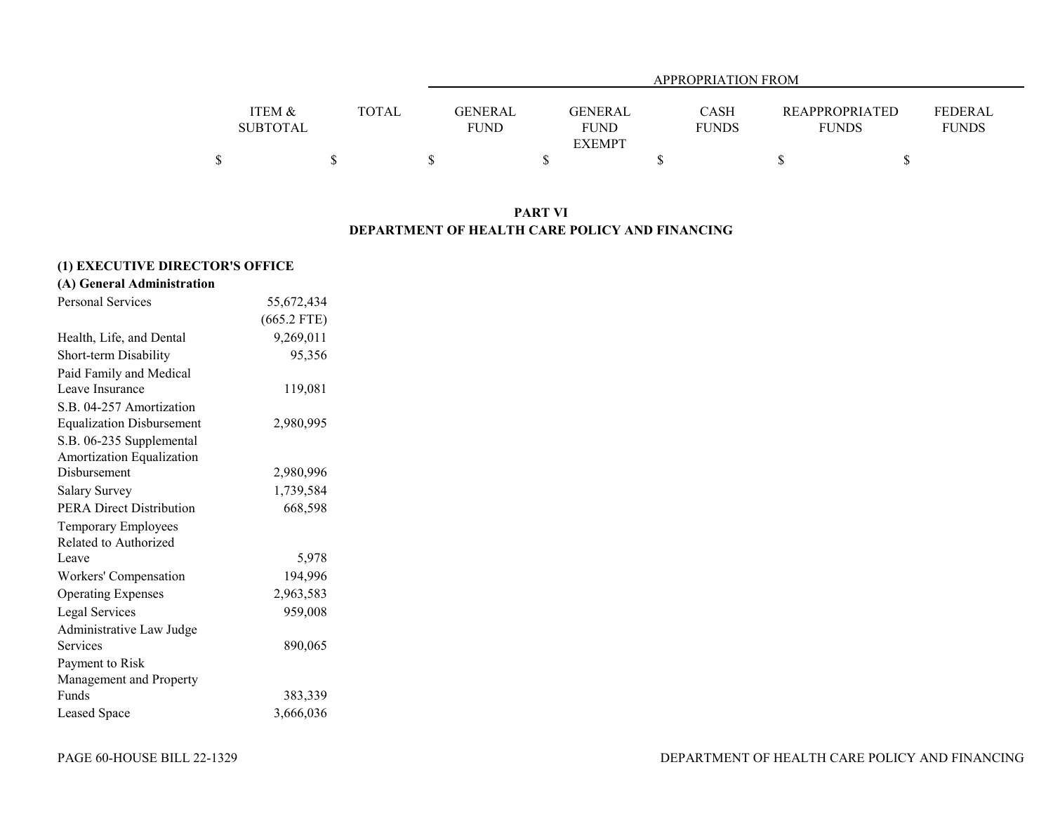|                   |       |                |               | APPROPRIATION FROM |                       |                |
|-------------------|-------|----------------|---------------|--------------------|-----------------------|----------------|
|                   |       |                |               |                    |                       |                |
| <b>ITEM &amp;</b> | TOTAL | <b>GENERAL</b> | GENERAL       | <b>CASH</b>        | <b>REAPPROPRIATED</b> | <b>FEDERAL</b> |
| <b>SUBTOTAL</b>   |       | <b>FUND</b>    | <b>FUND</b>   | <b>FUNDS</b>       | <b>FUNDS</b>          | <b>FUNDS</b>   |
|                   |       |                | <b>EXEMPT</b> |                    |                       |                |
|                   |       |                |               |                    |                       |                |

#### **PART VI DEPARTMENT OF HEALTH CARE POLICY AND FINANCING**

## **(1) EXECUTIVE DIRECTOR'S OFFICE**

## **(A) General Administration**

| <b>Personal Services</b>         | 55,672,434    |
|----------------------------------|---------------|
|                                  | $(665.2$ FTE) |
| Health, Life, and Dental         | 9,269,011     |
| Short-term Disability            | 95,356        |
| Paid Family and Medical          |               |
| Leave Insurance                  | 119,081       |
| S.B. 04-257 Amortization         |               |
| <b>Equalization Disbursement</b> | 2,980,995     |
| S.B. 06-235 Supplemental         |               |
| Amortization Equalization        |               |
| Disbursement                     | 2,980,996     |
| <b>Salary Survey</b>             | 1,739,584     |
| <b>PERA Direct Distribution</b>  | 668,598       |
| Temporary Employees              |               |
| Related to Authorized            |               |
| Leave                            | 5,978         |
| Workers' Compensation            | 194,996       |
| <b>Operating Expenses</b>        | 2,963,583     |
| Legal Services                   | 959,008       |
| Administrative Law Judge         |               |
| Services                         | 890,065       |
| Payment to Risk                  |               |
| Management and Property          |               |
| Funds                            | 383,339       |
| Leased Space                     | 3,666,036     |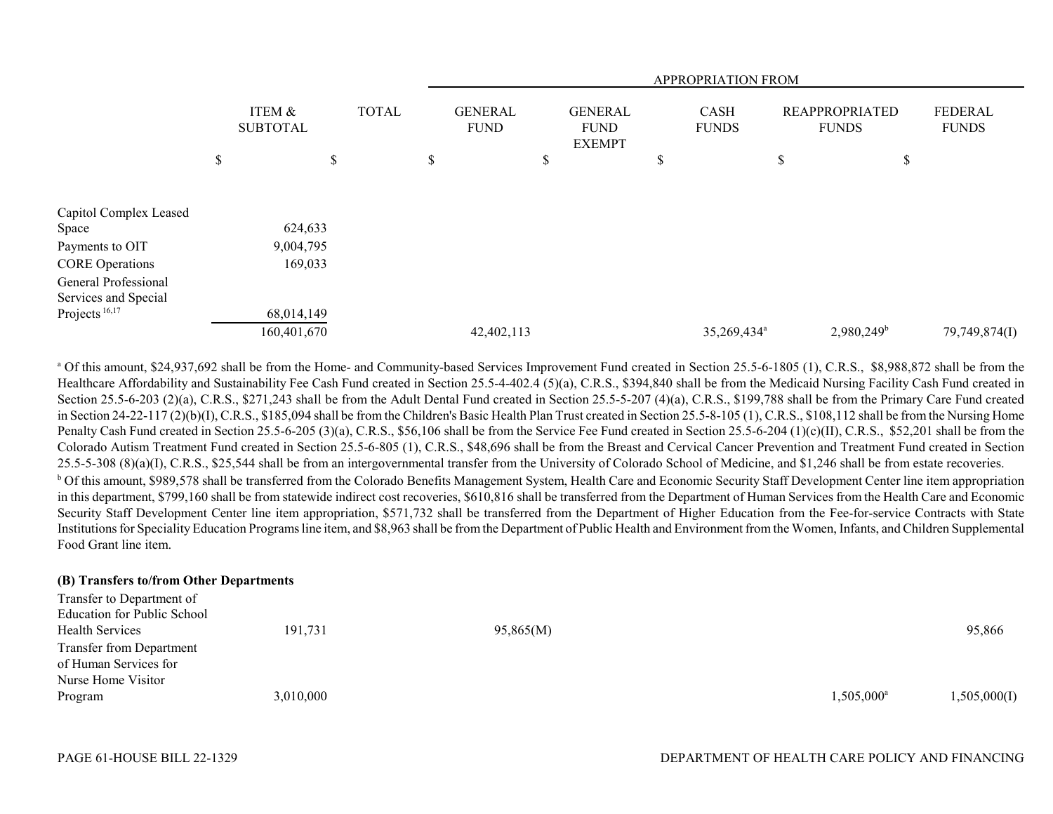|                           |                           |              |    |                               |    |                                                |   | APPROPRIATION FROM          |                                |                          |                                |
|---------------------------|---------------------------|--------------|----|-------------------------------|----|------------------------------------------------|---|-----------------------------|--------------------------------|--------------------------|--------------------------------|
|                           | ITEM &<br><b>SUBTOTAL</b> | <b>TOTAL</b> |    | <b>GENERAL</b><br><b>FUND</b> |    | <b>GENERAL</b><br><b>FUND</b><br><b>EXEMPT</b> |   | <b>CASH</b><br><b>FUNDS</b> | REAPPROPRIATED<br><b>FUNDS</b> |                          | <b>FEDERAL</b><br><b>FUNDS</b> |
|                           | \$<br>\$                  |              | \$ |                               | \$ |                                                | P |                             | \$                             | \$                       |                                |
| Capitol Complex Leased    |                           |              |    |                               |    |                                                |   |                             |                                |                          |                                |
| Space                     | 624,633                   |              |    |                               |    |                                                |   |                             |                                |                          |                                |
| Payments to OIT           | 9,004,795                 |              |    |                               |    |                                                |   |                             |                                |                          |                                |
| <b>CORE</b> Operations    | 169,033                   |              |    |                               |    |                                                |   |                             |                                |                          |                                |
| General Professional      |                           |              |    |                               |    |                                                |   |                             |                                |                          |                                |
| Services and Special      |                           |              |    |                               |    |                                                |   |                             |                                |                          |                                |
| Projects <sup>16,17</sup> | 68,014,149                |              |    |                               |    |                                                |   |                             |                                |                          |                                |
|                           | 160,401,670               |              |    | 42,402,113                    |    |                                                |   | 35,269,434 <sup>a</sup>     |                                | $2,980,249$ <sup>b</sup> | 79,749,874(I)                  |

<sup>a</sup> Of this amount, \$24,937,692 shall be from the Home- and Community-based Services Improvement Fund created in Section 25.5-6-1805 (1), C.R.S., \$8,988,872 shall be from the Healthcare Affordability and Sustainability Fee Cash Fund created in Section 25.5-4-402.4 (5)(a), C.R.S., \$394,840 shall be from the Medicaid Nursing Facility Cash Fund created in Section 25.5-6-203 (2)(a), C.R.S., \$271,243 shall be from the Adult Dental Fund created in Section 25.5-5-207 (4)(a), C.R.S., \$199,788 shall be from the Primary Care Fund created in Section 24-22-117 (2)(b)(I), C.R.S., \$185,094 shall be from the Children's Basic Health Plan Trust created in Section 25.5-8-105 (1), C.R.S., \$108,112 shall be from the Nursing Home Penalty Cash Fund created in Section 25.5-6-205 (3)(a), C.R.S., \$56,106 shall be from the Service Fee Fund created in Section 25.5-6-204 (1)(c)(II), C.R.S., \$52,201 shall be from the Colorado Autism Treatment Fund created in Section 25.5-6-805 (1), C.R.S., \$48,696 shall be from the Breast and Cervical Cancer Prevention and Treatment Fund created in Section 25.5-5-308 (8)(a)(I), C.R.S., \$25,544 shall be from an intergovernmental transfer from the University of Colorado School of Medicine, and \$1,246 shall be from estate recoveries. <sup>b</sup> Of this amount, \$989,578 shall be transferred from the Colorado Benefits Management System, Health Care and Economic Security Staff Development Center line item appropriation in this department, \$799,160 shall be from statewide indirect cost recoveries, \$610,816 shall be transferred from the Department of Human Services from the Health Care and Economic Security Staff Development Center line item appropriation, \$571,732 shall be transferred from the Department of Higher Education from the Fee-for-service Contracts with State Institutions for Speciality Education Programs line item, and \$8,963 shall be from the Department of Public Health and Environment from the Women, Infants, and Children Supplemental Food Grant line item.

#### **(B) Transfers to/from Other Departments**

| Transfer to Department of       |           |           |                     |              |
|---------------------------------|-----------|-----------|---------------------|--------------|
| Education for Public School     |           |           |                     |              |
| <b>Health Services</b>          | 191,731   | 95,865(M) |                     | 95,866       |
| <b>Transfer from Department</b> |           |           |                     |              |
| of Human Services for           |           |           |                     |              |
| Nurse Home Visitor              |           |           |                     |              |
| Program                         | 3,010,000 |           | $1,505,000^{\rm a}$ | 1,505,000(I) |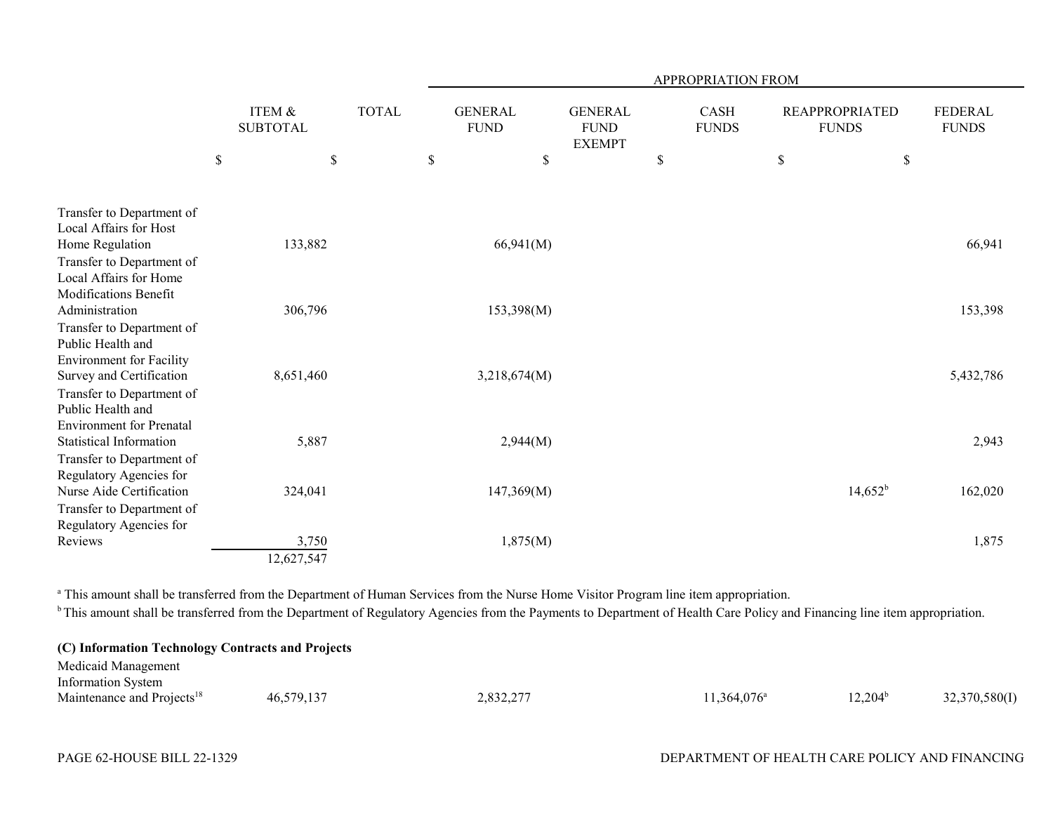|                                                                                                |             |                                      |              |      |                               |                                                | <b>APPROPRIATION FROM</b>   |      |                                       |                                |
|------------------------------------------------------------------------------------------------|-------------|--------------------------------------|--------------|------|-------------------------------|------------------------------------------------|-----------------------------|------|---------------------------------------|--------------------------------|
|                                                                                                |             | <b>ITEM &amp;</b><br><b>SUBTOTAL</b> | <b>TOTAL</b> |      | <b>GENERAL</b><br><b>FUND</b> | <b>GENERAL</b><br><b>FUND</b><br><b>EXEMPT</b> | <b>CASH</b><br><b>FUNDS</b> |      | <b>REAPPROPRIATED</b><br><b>FUNDS</b> | <b>FEDERAL</b><br><b>FUNDS</b> |
|                                                                                                | $\mathbb S$ | \$                                   |              | $\$$ | $\$$                          |                                                | \$                          | $\$$ | \$                                    |                                |
| Transfer to Department of<br>Local Affairs for Host                                            |             |                                      |              |      |                               |                                                |                             |      |                                       |                                |
| Home Regulation<br>Transfer to Department of                                                   |             | 133,882                              |              |      | 66,941(M)                     |                                                |                             |      |                                       | 66,941                         |
| Local Affairs for Home<br>Modifications Benefit<br>Administration                              |             | 306,796                              |              |      | 153,398(M)                    |                                                |                             |      |                                       | 153,398                        |
| Transfer to Department of<br>Public Health and<br><b>Environment</b> for Facility              |             | 8,651,460                            |              |      |                               |                                                |                             |      |                                       |                                |
| Survey and Certification<br>Transfer to Department of<br>Public Health and                     |             |                                      |              |      | 3,218,674(M)                  |                                                |                             |      |                                       | 5,432,786                      |
| <b>Environment</b> for Prenatal<br><b>Statistical Information</b><br>Transfer to Department of |             | 5,887                                |              |      | 2,944(M)                      |                                                |                             |      |                                       | 2,943                          |
| Regulatory Agencies for<br>Nurse Aide Certification                                            |             | 324,041                              |              |      | 147,369(M)                    |                                                |                             |      | $14,652^{\rm b}$                      | 162,020                        |
| Transfer to Department of<br>Regulatory Agencies for                                           |             |                                      |              |      |                               |                                                |                             |      |                                       |                                |
| Reviews                                                                                        |             | 3,750<br>12,627,547                  |              |      | 1,875(M)                      |                                                |                             |      |                                       | 1,875                          |

<sup>a</sup> This amount shall be transferred from the Department of Human Services from the Nurse Home Visitor Program line item appropriation.

<sup>b</sup> This amount shall be transferred from the Department of Regulatory Agencies from the Payments to Department of Health Care Policy and Financing line item appropriation.

| (C) Information Technology Contracts and Projects |            |           |                      |                     |               |
|---------------------------------------------------|------------|-----------|----------------------|---------------------|---------------|
| Medicaid Management                               |            |           |                      |                     |               |
| <b>Information System</b>                         |            |           |                      |                     |               |
| Maintenance and Projects <sup>18</sup>            | 46,579,137 | 2.832.277 | $11.364.076^{\circ}$ | 12.204 <sup>b</sup> | 32,370,580(I) |

### PAGE 62-HOUSE BILL 22-1329 DEPARTMENT OF HEALTH CARE POLICY AND FINANCING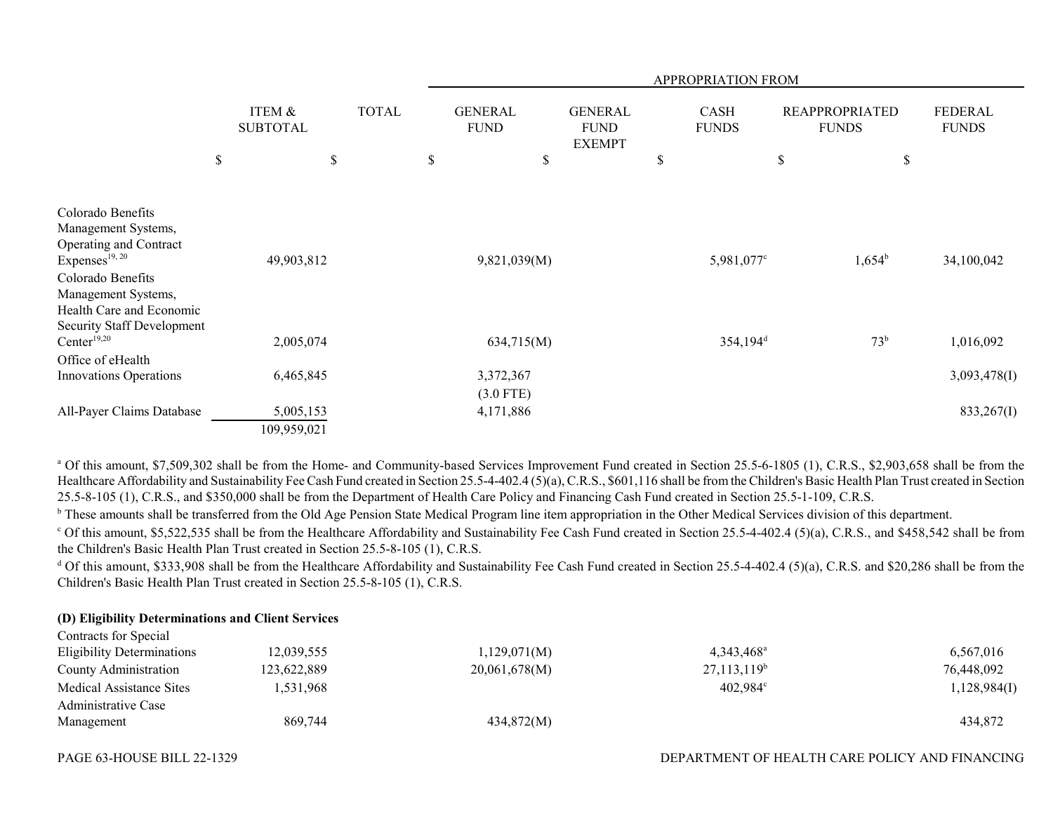|                                                                                                                                              |                           |              |                               |                                                |   | APPROPRIATION FROM          |                                       |                                |
|----------------------------------------------------------------------------------------------------------------------------------------------|---------------------------|--------------|-------------------------------|------------------------------------------------|---|-----------------------------|---------------------------------------|--------------------------------|
|                                                                                                                                              | ITEM &<br><b>SUBTOTAL</b> | <b>TOTAL</b> | <b>GENERAL</b><br><b>FUND</b> | <b>GENERAL</b><br><b>FUND</b><br><b>EXEMPT</b> |   | <b>CASH</b><br><b>FUNDS</b> | <b>REAPPROPRIATED</b><br><b>FUNDS</b> | <b>FEDERAL</b><br><b>FUNDS</b> |
|                                                                                                                                              | \$                        | \$           | \$                            | \$                                             | P |                             | \$<br>\$                              |                                |
|                                                                                                                                              |                           |              |                               |                                                |   |                             |                                       |                                |
| Colorado Benefits<br>Management Systems,<br>Operating and Contract<br>Expenses <sup>19, 20</sup><br>Colorado Benefits<br>Management Systems, | 49,903,812                |              | 9,821,039(M)                  |                                                |   | 5,981,077°                  | $1,654^b$                             | 34,100,042                     |
| Health Care and Economic<br><b>Security Staff Development</b>                                                                                |                           |              |                               |                                                |   |                             |                                       |                                |
| Center <sup>19,20</sup>                                                                                                                      | 2,005,074                 |              | 634,715(M)                    |                                                |   | $354,194$ <sup>d</sup>      | 73 <sup>b</sup>                       | 1,016,092                      |
| Office of eHealth                                                                                                                            |                           |              |                               |                                                |   |                             |                                       |                                |
| Innovations Operations                                                                                                                       | 6,465,845                 |              | 3,372,367                     |                                                |   |                             |                                       | 3,093,478(I)                   |
|                                                                                                                                              |                           |              | $(3.0$ FTE)                   |                                                |   |                             |                                       |                                |
| All-Payer Claims Database                                                                                                                    | 5,005,153                 |              | 4,171,886                     |                                                |   |                             |                                       | 833,267(I)                     |
|                                                                                                                                              | 109,959,021               |              |                               |                                                |   |                             |                                       |                                |

<sup>a</sup> Of this amount, \$7,509,302 shall be from the Home- and Community-based Services Improvement Fund created in Section 25.5-6-1805 (1), C.R.S., \$2,903,658 shall be from the Healthcare Affordability and Sustainability Fee Cash Fund created in Section 25.5-4-402.4 (5)(a), C.R.S., \$601,116 shall be from the Children's Basic Health Plan Trust created in Section 25.5-8-105 (1), C.R.S., and \$350,000 shall be from the Department of Health Care Policy and Financing Cash Fund created in Section 25.5-1-109, C.R.S.

<sup>b</sup> These amounts shall be transferred from the Old Age Pension State Medical Program line item appropriation in the Other Medical Services division of this department.

 $^{\circ}$  Of this amount, \$5,522,535 shall be from the Healthcare Affordability and Sustainability Fee Cash Fund created in Section 25.5-4-402.4 (5)(a), C.R.S., and \$458,542 shall be from the Children's Basic Health Plan Trust created in Section 25.5-8-105 (1), C.R.S.

<sup>d</sup> Of this amount, \$333,908 shall be from the Healthcare Affordability and Sustainability Fee Cash Fund created in Section 25.5-4-402.4 (5)(a), C.R.S. and \$20,286 shall be from the Children's Basic Health Plan Trust created in Section 25.5-8-105 (1), C.R.S.

#### **(D) Eligibility Determinations and Client Services**  $C$  subsets for  $C$  special

| Contracts for Special             |             |               |                     |              |
|-----------------------------------|-------------|---------------|---------------------|--------------|
| <b>Eligibility Determinations</b> | 12,039,555  | 1,129,071(M)  | $4,343,468^{\circ}$ | 6,567,016    |
| County Administration             | 123,622,889 | 20,061,678(M) | $27,113,119^b$      | 76,448,092   |
| Medical Assistance Sites          | .531.968    |               | $402.984^{\circ}$   | 1,128,984(I) |
| Administrative Case               |             |               |                     |              |
| Management                        | 869,744     | 434,872(M)    |                     | 434,872      |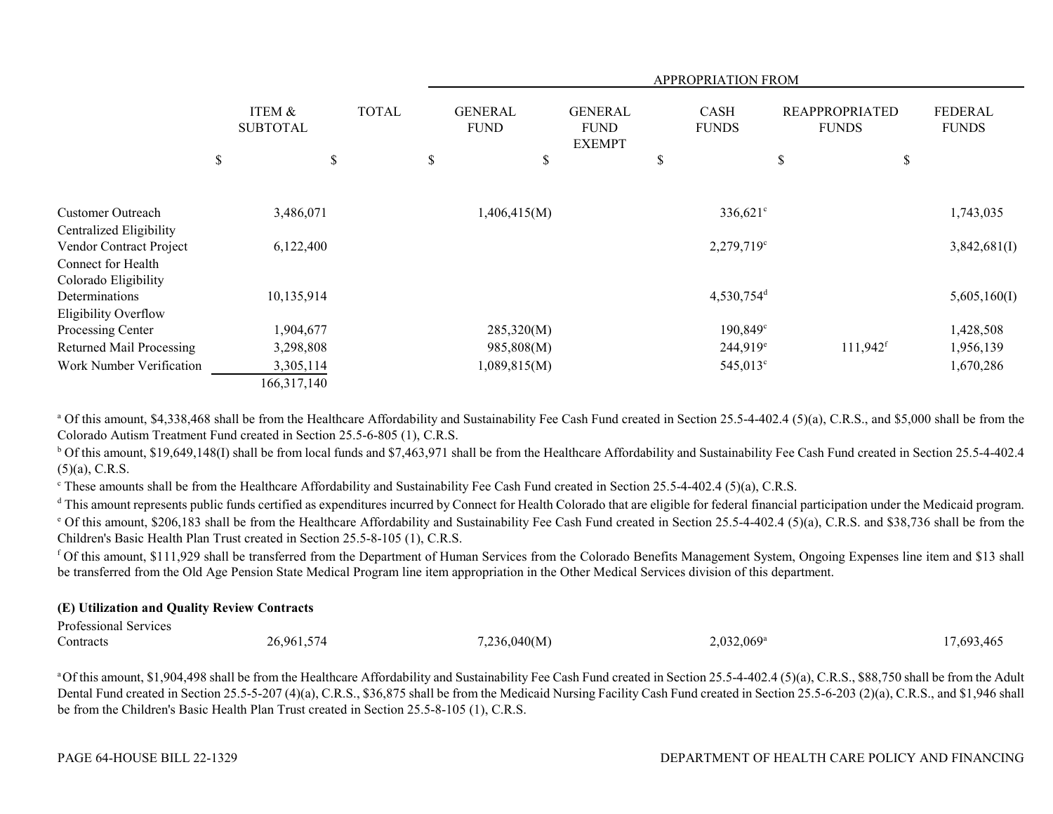|                                                    |                           |              |                               |                                                | <b>APPROPRIATION FROM</b>   |                                       |                                |
|----------------------------------------------------|---------------------------|--------------|-------------------------------|------------------------------------------------|-----------------------------|---------------------------------------|--------------------------------|
|                                                    | ITEM &<br><b>SUBTOTAL</b> | <b>TOTAL</b> | <b>GENERAL</b><br><b>FUND</b> | <b>GENERAL</b><br><b>FUND</b><br><b>EXEMPT</b> | <b>CASH</b><br><b>FUNDS</b> | <b>REAPPROPRIATED</b><br><b>FUNDS</b> | <b>FEDERAL</b><br><b>FUNDS</b> |
|                                                    | \$<br>\$                  |              | \$<br>\$                      |                                                | \$                          | \$<br>\$                              |                                |
| <b>Customer Outreach</b>                           | 3,486,071                 |              | 1,406,415(M)                  |                                                | $336,621$ °                 |                                       | 1,743,035                      |
| Centralized Eligibility<br>Vendor Contract Project | 6,122,400                 |              |                               |                                                | $2,279,719^{\circ}$         |                                       | 3,842,681(I)                   |
| Connect for Health<br>Colorado Eligibility         |                           |              |                               |                                                |                             |                                       |                                |
| Determinations<br>Eligibility Overflow             | 10,135,914                |              |                               |                                                | $4,530,754$ <sup>d</sup>    |                                       | 5,605,160(I)                   |
| Processing Center                                  | 1,904,677                 |              | 285,320(M)                    |                                                | $190,849^{\circ}$           |                                       | 1,428,508                      |
| <b>Returned Mail Processing</b>                    | 3,298,808                 |              | 985,808(M)                    |                                                | $244,919^e$                 | $111,942$ <sup>f</sup>                | 1,956,139                      |
| Work Number Verification                           | 3,305,114                 |              | 1,089,815(M)                  |                                                | 545,013 <sup>c</sup>        |                                       | 1,670,286                      |
|                                                    | 166,317,140               |              |                               |                                                |                             |                                       |                                |

<sup>a</sup> Of this amount, \$4,338,468 shall be from the Healthcare Affordability and Sustainability Fee Cash Fund created in Section 25.5-4-402.4 (5)(a), C.R.S., and \$5,000 shall be from the Colorado Autism Treatment Fund created in Section 25.5-6-805 (1), C.R.S.

<sup>b</sup> Of this amount, \$19,649,148(I) shall be from local funds and \$7,463,971 shall be from the Healthcare Affordability and Sustainability Fee Cash Fund created in Section 25.5-4-402.4  $(5)(a)$ , C.R.S.

<sup>c</sup> These amounts shall be from the Healthcare Affordability and Sustainability Fee Cash Fund created in Section 25.5-4-402.4 (5)(a), C.R.S.

<sup>d</sup> This amount represents public funds certified as expenditures incurred by Connect for Health Colorado that are eligible for federal financial participation under the Medicaid program. <sup>e</sup> Of this amount, \$206,183 shall be from the Healthcare Affordability and Sustainability Fee Cash Fund created in Section 25.5-4-402.4 (5)(a), C.R.S. and \$38,736 shall be from the Children's Basic Health Plan Trust created in Section 25.5-8-105 (1), C.R.S.

f Of this amount, \$111,929 shall be transferred from the Department of Human Services from the Colorado Benefits Management System, Ongoing Expenses line item and \$13 shall be transferred from the Old Age Pension State Medical Program line item appropriation in the Other Medical Services division of this department.

#### **(E) Utilization and Quality Review Contracts**

| Professional Services |                  |              |                     |           |
|-----------------------|------------------|--------------|---------------------|-----------|
| Contracts             | 26,961,57<br>574 | 7,236,040(M) | $2,032,069^{\rm a}$ | 7.693.46. |

<sup>a</sup> Of this amount, \$1,904,498 shall be from the Healthcare Affordability and Sustainability Fee Cash Fund created in Section 25.5-4-402.4 (5)(a), C.R.S., \$88,750 shall be from the Adult Dental Fund created in Section 25.5-5-207 (4)(a), C.R.S., \$36,875 shall be from the Medicaid Nursing Facility Cash Fund created in Section 25.5-6-203 (2)(a), C.R.S., and \$1,946 shall be from the Children's Basic Health Plan Trust created in Section 25.5-8-105 (1), C.R.S.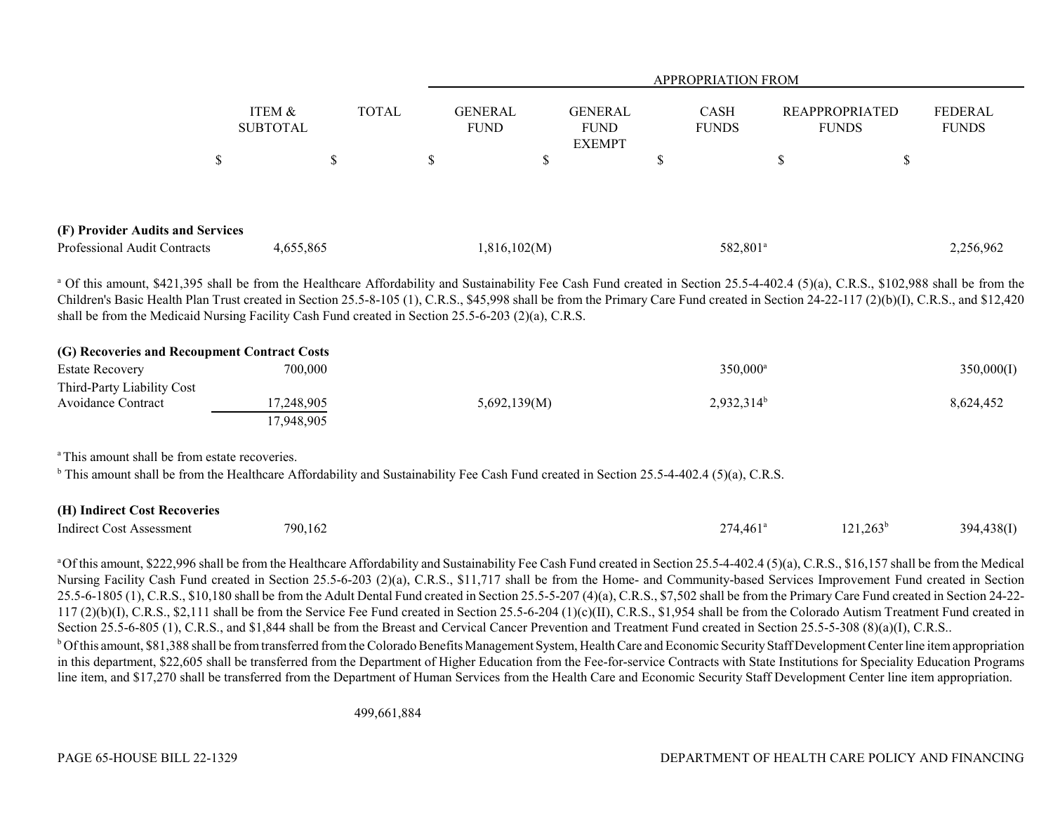|                                                                  |                    |              |                               |                                                |    | <b>APPROPRIATION FROM</b>   |                                       |                         |  |
|------------------------------------------------------------------|--------------------|--------------|-------------------------------|------------------------------------------------|----|-----------------------------|---------------------------------------|-------------------------|--|
|                                                                  | ITEM &<br>SUBTOTAL | <b>TOTAL</b> | <b>GENERAL</b><br><b>FUND</b> | <b>GENERAL</b><br><b>FUND</b><br><b>EXEMPT</b> |    | <b>CASH</b><br><b>FUNDS</b> | <b>REAPPROPRIATED</b><br><b>FUNDS</b> | FEDERAL<br><b>FUNDS</b> |  |
|                                                                  |                    | \$           |                               |                                                | ۰D |                             | \$                                    |                         |  |
| (F) Provider Audits and Services<br>Professional Audit Contracts | 4,655,865          |              | 1,816,102(M)                  |                                                |    | 582,801 <sup>a</sup>        |                                       | 2,256,962               |  |

<sup>a</sup> Of this amount, \$421,395 shall be from the Healthcare Affordability and Sustainability Fee Cash Fund created in Section 25.5-4-402.4 (5)(a), C.R.S., \$102,988 shall be from the Children's Basic Health Plan Trust created in Section 25.5-8-105 (1), C.R.S., \$45,998 shall be from the Primary Care Fund created in Section 24-22-117 (2)(b)(I), C.R.S., and \$12,420 shall be from the Medicaid Nursing Facility Cash Fund created in Section 25.5-6-203 (2)(a), C.R.S.

| (G) Recoveries and Recoupment Contract Costs |            |              |                      |            |
|----------------------------------------------|------------|--------------|----------------------|------------|
| <b>Estate Recovery</b>                       | 700,000    |              | 350,000 <sup>a</sup> | 350,000(I) |
| Third-Party Liability Cost                   |            |              |                      |            |
| Avoidance Contract                           | 17.248.905 | 5,692,139(M) | $2,932,314^b$        | 8,624,452  |
|                                              | 17.948.905 |              |                      |            |

<sup>a</sup> This amount shall be from estate recoveries.

<sup>b</sup> This amount shall be from the Healthcare Affordability and Sustainability Fee Cash Fund created in Section 25.5-4-402.4 (5)(a), C.R.S.

| (H) Indirect Cost Recoveries    |         |                      |                                 |            |
|---------------------------------|---------|----------------------|---------------------------------|------------|
| <b>Indirect Cost Assessment</b> | 790,162 | 274,461 <sup>e</sup> | 121.263 <sup>b</sup><br>141.40J | 394,438(I) |

<sup>a</sup> Of this amount, \$222,996 shall be from the Healthcare Affordability and Sustainability Fee Cash Fund created in Section 25.5-4-402.4 (5)(a), C.R.S., \$16,157 shall be from the Medical Nursing Facility Cash Fund created in Section 25.5-6-203 (2)(a), C.R.S., \$11,717 shall be from the Home- and Community-based Services Improvement Fund created in Section 25.5-6-1805 (1), C.R.S., \$10,180 shall be from the Adult Dental Fund created in Section 25.5-5-207 (4)(a), C.R.S., \$7,502 shall be from the Primary Care Fund created in Section 24-22- 117 (2)(b)(I), C.R.S., \$2,111 shall be from the Service Fee Fund created in Section 25.5-6-204 (1)(c)(II), C.R.S., \$1,954 shall be from the Colorado Autism Treatment Fund created in Section 25.5-6-805 (1), C.R.S., and \$1,844 shall be from the Breast and Cervical Cancer Prevention and Treatment Fund created in Section 25.5-5-308 (8)(a)(I), C.R.S.. <sup>b</sup> Of this amount, \$81,388 shall be from transferred from the Colorado Benefits Management System, Health Care and Economic Security Staff Development Center line item appropriation in this department, \$22,605 shall be transferred from the Department of Higher Education from the Fee-for-service Contracts with State Institutions for Speciality Education Programs line item, and \$17,270 shall be transferred from the Department of Human Services from the Health Care and Economic Security Staff Development Center line item appropriation.

499,661,884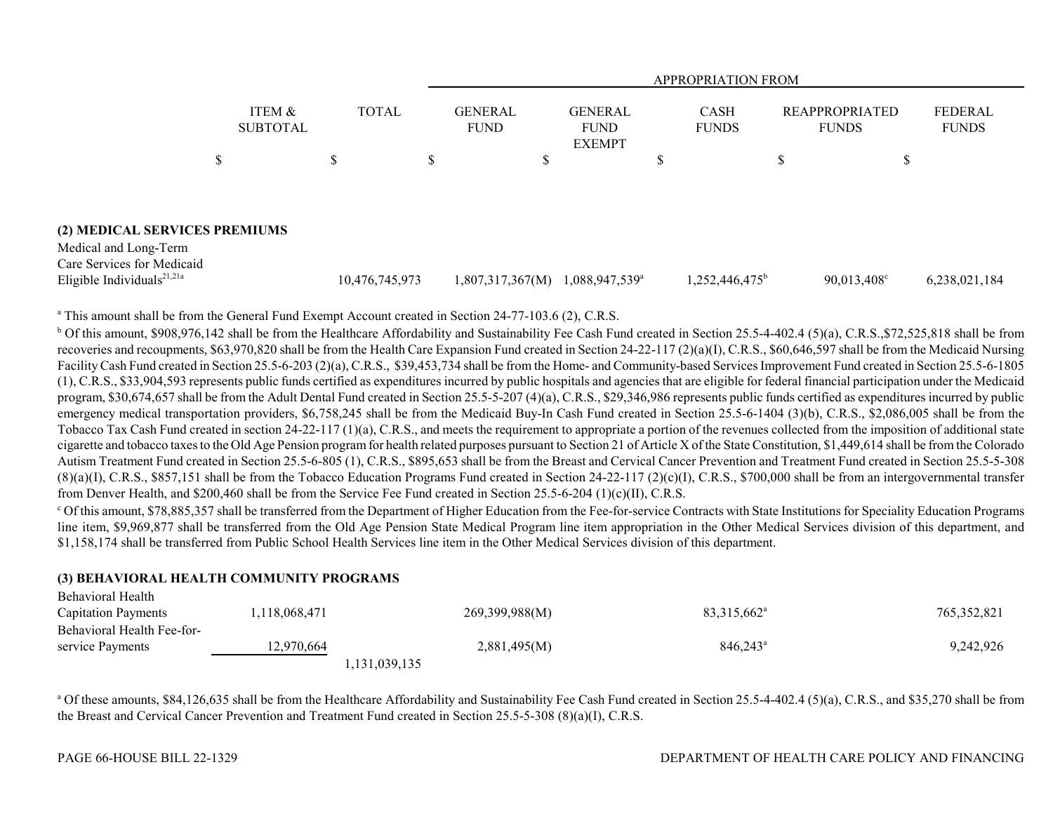|                                                                                               |                           |                | <b>APPROPRIATION FROM</b> |                               |                                                |  |                             |   |                                       |                                |  |  |
|-----------------------------------------------------------------------------------------------|---------------------------|----------------|---------------------------|-------------------------------|------------------------------------------------|--|-----------------------------|---|---------------------------------------|--------------------------------|--|--|
|                                                                                               | ITEM &<br><b>SUBTOTAL</b> | <b>TOTAL</b>   |                           | <b>GENERAL</b><br><b>FUND</b> | <b>GENERAL</b><br><b>FUND</b><br><b>EXEMPT</b> |  | <b>CASH</b><br><b>FUNDS</b> |   | <b>REAPPROPRIATED</b><br><b>FUNDS</b> | <b>FEDERAL</b><br><b>FUNDS</b> |  |  |
|                                                                                               | D                         | J.D            | D                         | Φ                             |                                                |  |                             | Φ | Φ                                     |                                |  |  |
|                                                                                               |                           |                |                           |                               |                                                |  |                             |   |                                       |                                |  |  |
| (2) MEDICAL SERVICES PREMIUMS                                                                 |                           |                |                           |                               |                                                |  |                             |   |                                       |                                |  |  |
| Medical and Long-Term<br>Care Services for Medicaid<br>Eligible Individuals <sup>21,21a</sup> |                           | 10,476,745,973 |                           | 1,807,317,367(M)              | $1,088,947,539^{\circ}$                        |  | $1,252,446,475^b$           |   | $90,013,408^{\circ}$                  | 6,238,021,184                  |  |  |

<sup>a</sup> This amount shall be from the General Fund Exempt Account created in Section 24-77-103.6 (2), C.R.S.

<sup>b</sup> Of this amount, \$908,976,142 shall be from the Healthcare Affordability and Sustainability Fee Cash Fund created in Section 25.5-4-402.4 (5)(a), C.R.S., \$72,525,818 shall be from recoveries and recoupments, \$63,970,820 shall be from the Health Care Expansion Fund created in Section 24-22-117 (2)(a)(I), C.R.S., \$60,646,597 shall be from the Medicaid Nursing Facility Cash Fund created in Section 25.5-6-203 (2)(a), C.R.S., \$39,453,734 shall be from the Home- and Community-based Services Improvement Fund created in Section 25.5-6-1805 (1), C.R.S., \$33,904,593 represents public funds certified as expenditures incurred by public hospitals and agencies that are eligible for federal financial participation under the Medicaid program, \$30,674,657 shall be from the Adult Dental Fund created in Section 25.5-5-207 (4)(a), C.R.S., \$29,346,986 represents public funds certified as expenditures incurred by public emergency medical transportation providers, \$6,758,245 shall be from the Medicaid Buy-In Cash Fund created in Section 25.5-6-1404 (3)(b), C.R.S., \$2,086,005 shall be from the Tobacco Tax Cash Fund created in section 24-22-117 (1)(a), C.R.S., and meets the requirement to appropriate a portion of the revenues collected from the imposition of additional state cigarette and tobacco taxes to the Old Age Pension program for health related purposes pursuant to Section 21 of Article X of the State Constitution, \$1,449,614 shall be from the Colorado Autism Treatment Fund created in Section 25.5-6-805 (1), C.R.S., \$895,653 shall be from the Breast and Cervical Cancer Prevention and Treatment Fund created in Section 25.5-5-308  $(8)(a)(I)$ , C.R.S., \$857,151 shall be from the Tobacco Education Programs Fund created in Section 24-22-117 (2)(c)(I), C.R.S., \$700,000 shall be from an intergovernmental transfer from Denver Health, and \$200,460 shall be from the Service Fee Fund created in Section 25.5-6-204 (1)(c)(II), C.R.S.

c Of this amount, \$78,885,357 shall be transferred from the Department of Higher Education from the Fee-for-service Contracts with State Institutions for Speciality Education Programs line item, \$9,969,877 shall be transferred from the Old Age Pension State Medical Program line item appropriation in the Other Medical Services division of this department, and \$1,158,174 shall be transferred from Public School Health Services line item in the Other Medical Services division of this department.

#### **(3) BEHAVIORAL HEALTH COMMUNITY PROGRAMS**

| Behavioral Health          |               |                |                         |               |
|----------------------------|---------------|----------------|-------------------------|---------------|
| <b>Capitation Payments</b> | 1,118,068,471 | 269,399,988(M) | 83,315,662 <sup>a</sup> | 765, 352, 821 |
| Behavioral Health Fee-for- |               |                |                         |               |
| service Payments           | 12.970.664    | 2,881,495(M)   | $846.243^{\circ}$       | 9,242,926     |
|                            |               | 1,131,039,135  |                         |               |

<sup>a</sup> Of these amounts, \$84,126,635 shall be from the Healthcare Affordability and Sustainability Fee Cash Fund created in Section 25.5-4-402.4 (5)(a), C.R.S., and \$35,270 shall be from the Breast and Cervical Cancer Prevention and Treatment Fund created in Section 25.5-5-308 (8)(a)(I), C.R.S.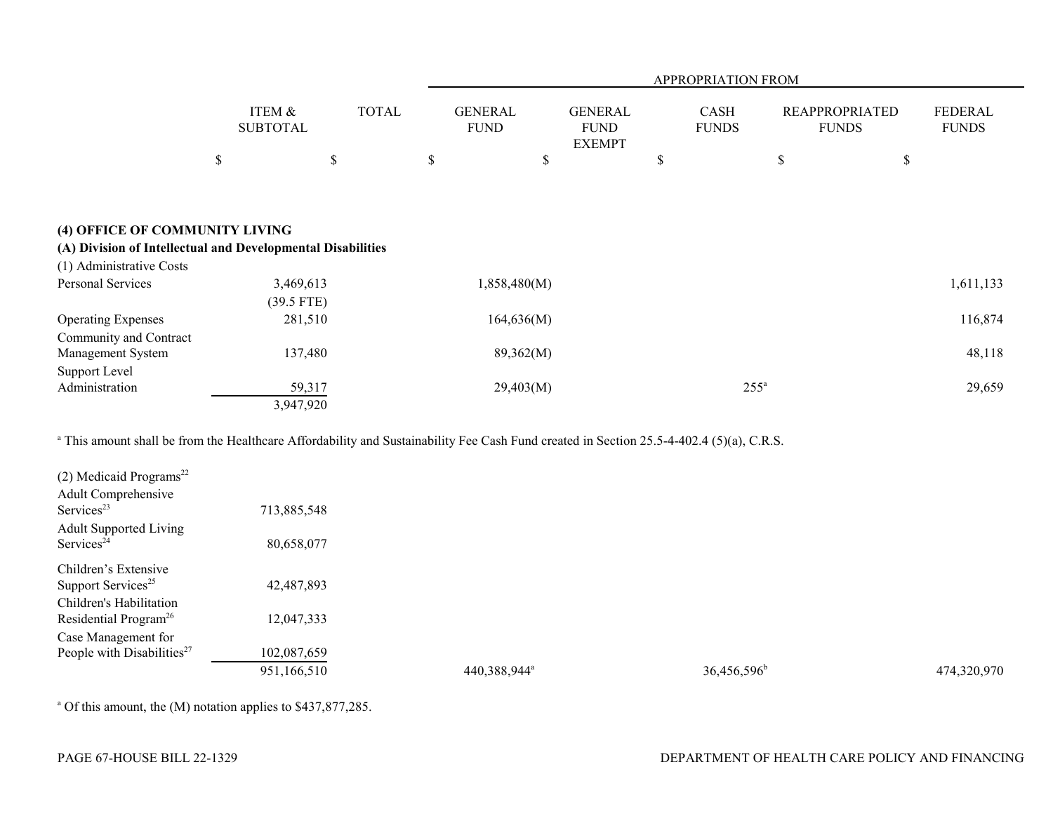|                                                             |      |                           |              | APPROPRIATION FROM            |    |                                                |    |                      |    |                                       |                                |  |  |
|-------------------------------------------------------------|------|---------------------------|--------------|-------------------------------|----|------------------------------------------------|----|----------------------|----|---------------------------------------|--------------------------------|--|--|
|                                                             |      | ITEM &<br><b>SUBTOTAL</b> | <b>TOTAL</b> | <b>GENERAL</b><br><b>FUND</b> |    | <b>GENERAL</b><br><b>FUND</b><br><b>EXEMPT</b> |    | CASH<br><b>FUNDS</b> |    | <b>REAPPROPRIATED</b><br><b>FUNDS</b> | <b>FEDERAL</b><br><b>FUNDS</b> |  |  |
|                                                             | $\$$ |                           | \$           | \$                            | \$ |                                                | \$ |                      | \$ | \$                                    |                                |  |  |
|                                                             |      |                           |              |                               |    |                                                |    |                      |    |                                       |                                |  |  |
| (4) OFFICE OF COMMUNITY LIVING                              |      |                           |              |                               |    |                                                |    |                      |    |                                       |                                |  |  |
| (A) Division of Intellectual and Developmental Disabilities |      |                           |              |                               |    |                                                |    |                      |    |                                       |                                |  |  |
| (1) Administrative Costs                                    |      |                           |              |                               |    |                                                |    |                      |    |                                       |                                |  |  |
| <b>Personal Services</b>                                    |      | 3,469,613                 |              | 1,858,480(M)                  |    |                                                |    |                      |    |                                       | 1,611,133                      |  |  |
|                                                             |      | $(39.5$ FTE)              |              |                               |    |                                                |    |                      |    |                                       |                                |  |  |
| <b>Operating Expenses</b>                                   |      | 281,510                   |              | 164,636(M)                    |    |                                                |    |                      |    |                                       | 116,874                        |  |  |
| Community and Contract                                      |      | 137,480                   |              | 89,362(M)                     |    |                                                |    |                      |    |                                       | 48,118                         |  |  |
| Management System                                           |      |                           |              |                               |    |                                                |    |                      |    |                                       |                                |  |  |
| Support Level<br>Administration                             |      | 59,317                    |              | 29,403(M)                     |    |                                                |    | $255^{\circ}$        |    |                                       | 29,659                         |  |  |
|                                                             |      | 3,947,920                 |              |                               |    |                                                |    |                      |    |                                       |                                |  |  |

<sup>a</sup> This amount shall be from the Healthcare Affordability and Sustainability Fee Cash Fund created in Section 25.5-4-402.4 (5)(a), C.R.S.

| $(2)$ Medicaid Programs <sup>22</sup>  |             |                          |                         |             |
|----------------------------------------|-------------|--------------------------|-------------------------|-------------|
| Adult Comprehensive                    |             |                          |                         |             |
| Services <sup>23</sup>                 | 713,885,548 |                          |                         |             |
| <b>Adult Supported Living</b>          |             |                          |                         |             |
| Services <sup>24</sup>                 | 80,658,077  |                          |                         |             |
| Children's Extensive                   |             |                          |                         |             |
| Support Services <sup>25</sup>         | 42,487,893  |                          |                         |             |
| Children's Habilitation                |             |                          |                         |             |
| Residential Program <sup>26</sup>      | 12,047,333  |                          |                         |             |
| Case Management for                    |             |                          |                         |             |
| People with Disabilities <sup>27</sup> | 102,087,659 |                          |                         |             |
|                                        | 951,166,510 | 440,388,944 <sup>a</sup> | 36,456,596 <sup>b</sup> | 474,320,970 |

<sup>a</sup> Of this amount, the (M) notation applies to \$437,877,285.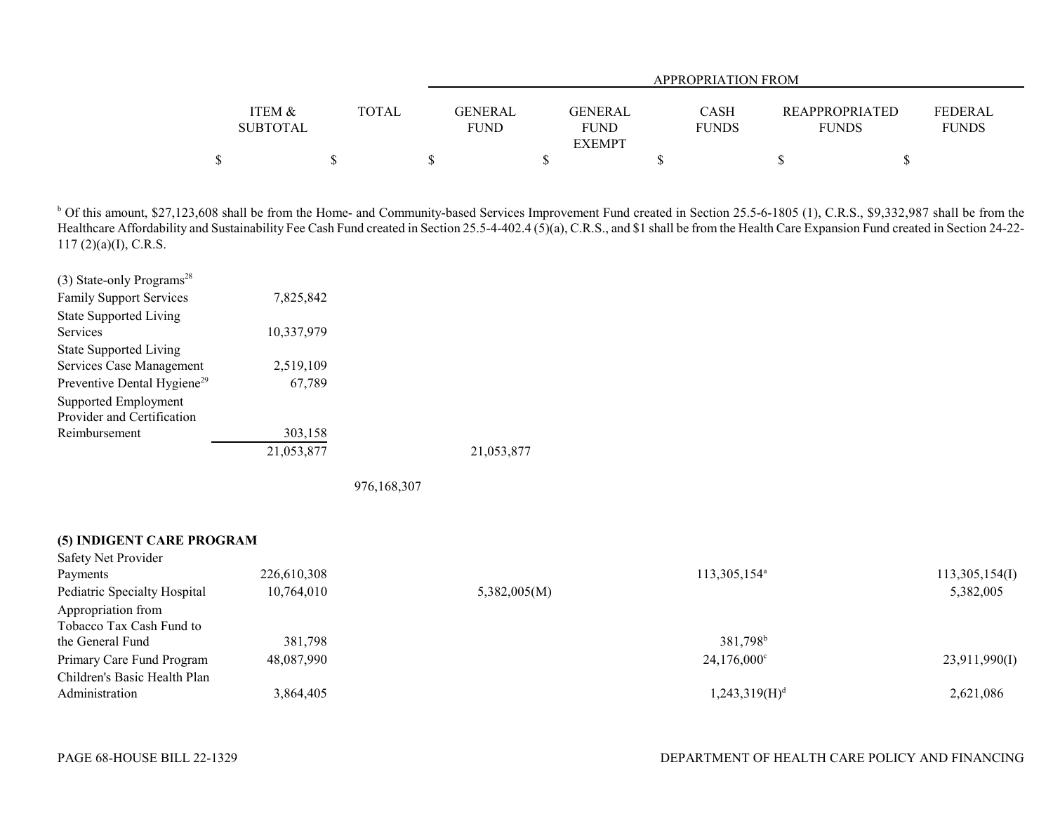|                 |              |             | APPROPRIATION FROM |              |  |                                  |  |  |  |  |  |  |
|-----------------|--------------|-------------|--------------------|--------------|--|----------------------------------|--|--|--|--|--|--|
|                 |              |             |                    |              |  |                                  |  |  |  |  |  |  |
| ITEM &          | <b>TOTAL</b> | GENERAL     | <b>GENERAL</b>     | <b>CASH</b>  |  | FEDERAL<br><b>REAPPROPRIATED</b> |  |  |  |  |  |  |
| <b>SUBTOTAL</b> |              | <b>FUND</b> | <b>FUND</b>        | <b>FUNDS</b> |  | <b>FUNDS</b><br><b>FUNDS</b>     |  |  |  |  |  |  |
|                 |              |             | <b>EXEMPT</b>      |              |  |                                  |  |  |  |  |  |  |
|                 |              |             |                    |              |  |                                  |  |  |  |  |  |  |

<sup>b</sup> Of this amount, \$27,123,608 shall be from the Home- and Community-based Services Improvement Fund created in Section 25.5-6-1805 (1), C.R.S., \$9,332,987 shall be from the Healthcare Affordability and Sustainability Fee Cash Fund created in Section 25.5-4-402.4 (5)(a), C.R.S., and \$1 shall be from the Health Care Expansion Fund created in Section 24-22-117 (2)(a)(I), C.R.S.

| (3) State-only Programs <sup>28</sup>   |            |  |
|-----------------------------------------|------------|--|
| <b>Family Support Services</b>          | 7,825,842  |  |
| <b>State Supported Living</b>           |            |  |
| <b>Services</b>                         | 10,337,979 |  |
| <b>State Supported Living</b>           |            |  |
| Services Case Management                | 2,519,109  |  |
| Preventive Dental Hygiene <sup>29</sup> | 67,789     |  |
| Supported Employment                    |            |  |
| Provider and Certification              |            |  |
| Reimbursement                           | 303,158    |  |
|                                         | 21,053,877 |  |

976,168,307

| (5) INDIGENT CARE PROGRAM |  |
|---------------------------|--|
| Safety Net Provider       |  |

| Payments                     | 226,610,308 |              | 113,305,154 <sup>a</sup>  | 113,305,154(I) |
|------------------------------|-------------|--------------|---------------------------|----------------|
| Pediatric Specialty Hospital | 10,764,010  | 5,382,005(M) |                           | 5,382,005      |
| Appropriation from           |             |              |                           |                |
| Tobacco Tax Cash Fund to     |             |              |                           |                |
| the General Fund             | 381,798     |              | 381,798 <sup>b</sup>      |                |
| Primary Care Fund Program    | 48,087,990  |              | $24,176,000^{\circ}$      | 23,911,990(I)  |
| Children's Basic Health Plan |             |              |                           |                |
| Administration               | 3,864,405   |              | 1,243,319(H) <sup>d</sup> | 2,621,086      |
|                              |             |              |                           |                |

21,053,877 21,053,877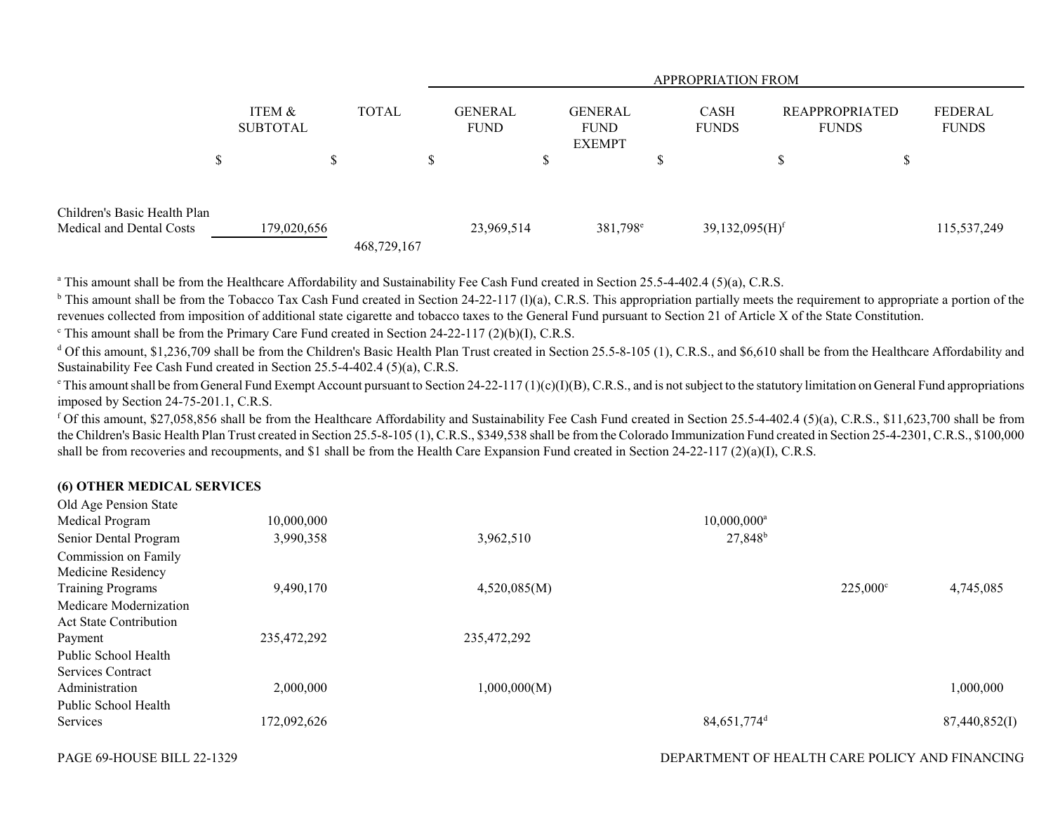|                                                          |                           |              |             | <b>APPROPRIATION FROM</b>     |        |                                                |          |                              |  |                                       |                         |  |  |
|----------------------------------------------------------|---------------------------|--------------|-------------|-------------------------------|--------|------------------------------------------------|----------|------------------------------|--|---------------------------------------|-------------------------|--|--|
|                                                          | ITEM &<br><b>SUBTOTAL</b> | <b>TOTAL</b> |             | <b>GENERAL</b><br><b>FUND</b> |        | <b>GENERAL</b><br><b>FUND</b><br><b>EXEMPT</b> |          | <b>CASH</b><br><b>FUNDS</b>  |  | <b>REAPPROPRIATED</b><br><b>FUNDS</b> | FEDERAL<br><b>FUNDS</b> |  |  |
| D                                                        |                           | D            | \$          |                               | ¢<br>D |                                                | ــه<br>D |                              |  | S                                     |                         |  |  |
| Children's Basic Health Plan<br>Medical and Dental Costs | 179,020,656               |              | 468,729,167 | 23,969,514                    |        | 381,798 <sup>e</sup>                           |          | $39,132,095(H)$ <sup>f</sup> |  |                                       | 115,537,249             |  |  |

<sup>a</sup> This amount shall be from the Healthcare Affordability and Sustainability Fee Cash Fund created in Section 25.5-4-402.4 (5)(a), C.R.S.

<sup>b</sup> This amount shall be from the Tobacco Tax Cash Fund created in Section 24-22-117 (1)(a), C.R.S. This appropriation partially meets the requirement to appropriate a portion of the revenues collected from imposition of additional state cigarette and tobacco taxes to the General Fund pursuant to Section 21 of Article X of the State Constitution.

 $\textdegree$  This amount shall be from the Primary Care Fund created in Section 24-22-117 (2)(b)(I), C.R.S.

 $d$  Of this amount, \$1,236,709 shall be from the Children's Basic Health Plan Trust created in Section 25.5-8-105 (1), C.R.S., and \$6,610 shall be from the Healthcare Affordability and Sustainability Fee Cash Fund created in Section 25.5-4-402.4 (5)(a), C.R.S.

 $\text{e}$ . This amount shall be from General Fund Exempt Account pursuant to Section 24-22-117 (1)(c)(I)(B), C.R.S., and is not subject to the statutory limitation on General Fund appropriations imposed by Section 24-75-201.1, C.R.S.

<sup>f</sup> Of this amount, \$27,058,856 shall be from the Healthcare Affordability and Sustainability Fee Cash Fund created in Section 25.5-4-402.4 (5)(a), C.R.S., \$11,623,700 shall be from the Children's Basic Health Plan Trust created in Section 25.5-8-105 (1), C.R.S., \$349,538 shall be from the Colorado Immunization Fund created in Section 25-4-2301, C.R.S., \$100,000 shall be from recoveries and recoupments, and \$1 shall be from the Health Care Expansion Fund created in Section 24-22-117 (2)(a)(I), C.R.S.

## **(6) OTHER MEDICAL SERVICES**

| Old Age Pension State         |             |              |                           |                   |               |
|-------------------------------|-------------|--------------|---------------------------|-------------------|---------------|
| Medical Program               | 10,000,000  |              | $10,000,000$ <sup>a</sup> |                   |               |
| Senior Dental Program         | 3,990,358   | 3,962,510    | 27,848 <sup>b</sup>       |                   |               |
| Commission on Family          |             |              |                           |                   |               |
| Medicine Residency            |             |              |                           |                   |               |
| <b>Training Programs</b>      | 9,490,170   | 4,520,085(M) |                           | $225,000^{\circ}$ | 4,745,085     |
| Medicare Modernization        |             |              |                           |                   |               |
| <b>Act State Contribution</b> |             |              |                           |                   |               |
| Payment                       | 235,472,292 | 235,472,292  |                           |                   |               |
| Public School Health          |             |              |                           |                   |               |
| Services Contract             |             |              |                           |                   |               |
| Administration                | 2,000,000   | 1,000,000(M) |                           |                   | 1,000,000     |
| Public School Health          |             |              |                           |                   |               |
| Services                      | 172,092,626 |              | $84,651,774$ <sup>d</sup> |                   | 87,440,852(I) |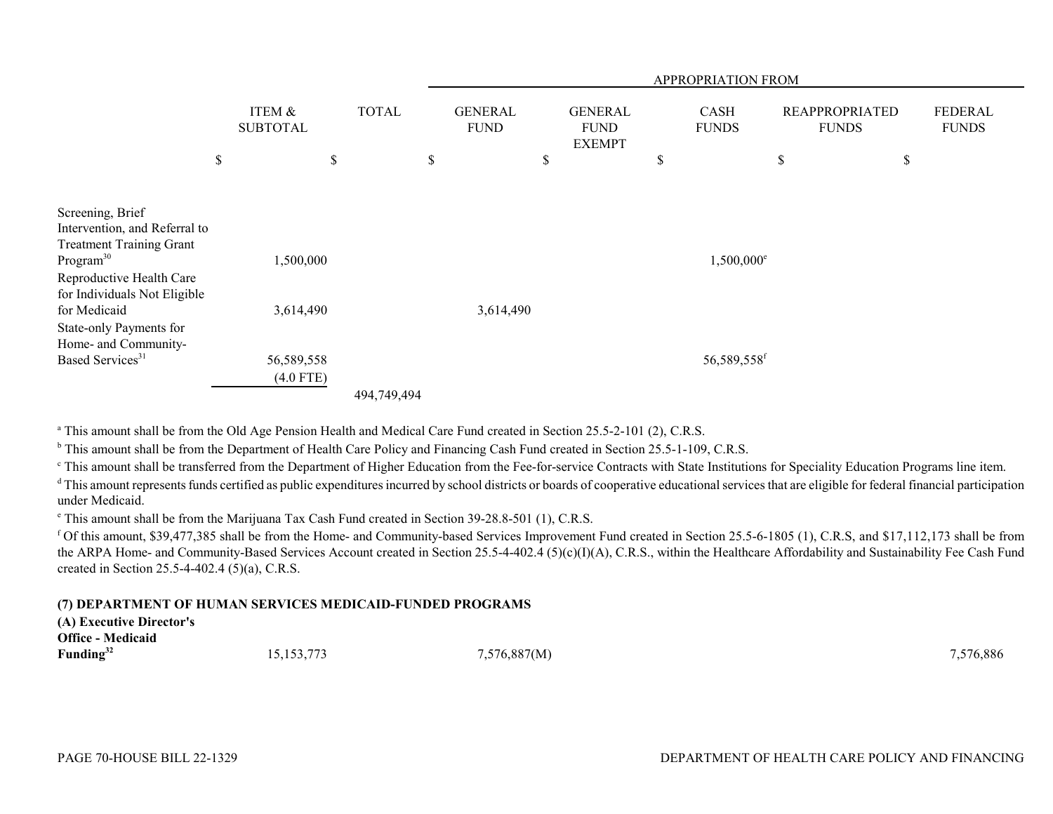|                                                                                                                                                                                           |                           |              | <b>APPROPRIATION FROM</b> |                               |    |                                                |    |                             |    |                                       |                                |
|-------------------------------------------------------------------------------------------------------------------------------------------------------------------------------------------|---------------------------|--------------|---------------------------|-------------------------------|----|------------------------------------------------|----|-----------------------------|----|---------------------------------------|--------------------------------|
|                                                                                                                                                                                           | ITEM &<br><b>SUBTOTAL</b> | <b>TOTAL</b> |                           | <b>GENERAL</b><br><b>FUND</b> |    | <b>GENERAL</b><br><b>FUND</b><br><b>EXEMPT</b> |    | <b>CASH</b><br><b>FUNDS</b> |    | <b>REAPPROPRIATED</b><br><b>FUNDS</b> | <b>FEDERAL</b><br><b>FUNDS</b> |
|                                                                                                                                                                                           | \$                        | \$           | \$                        |                               | \$ |                                                | \$ |                             | \$ | \$                                    |                                |
| Screening, Brief<br>Intervention, and Referral to<br><b>Treatment Training Grant</b><br>Program <sup>30</sup><br>Reproductive Health Care<br>for Individuals Not Eligible<br>for Medicaid | 1,500,000<br>3,614,490    |              |                           | 3,614,490                     |    |                                                |    | $1,500,000$ <sup>e</sup>    |    |                                       |                                |
| State-only Payments for<br>Home- and Community-<br>Based Services <sup>31</sup>                                                                                                           | 56,589,558<br>$(4.0$ FTE) | 494,749,494  |                           |                               |    |                                                |    | 56,589,558 <sup>f</sup>     |    |                                       |                                |

<sup>a</sup> This amount shall be from the Old Age Pension Health and Medical Care Fund created in Section 25.5-2-101 (2), C.R.S.

<sup>b</sup> This amount shall be from the Department of Health Care Policy and Financing Cash Fund created in Section 25.5-1-109, C.R.S.

<sup>c</sup> This amount shall be transferred from the Department of Higher Education from the Fee-for-service Contracts with State Institutions for Speciality Education Programs line item.

<sup>d</sup> This amount represents funds certified as public expenditures incurred by school districts or boards of cooperative educational services that are eligible for federal financial participation under Medicaid.

e This amount shall be from the Marijuana Tax Cash Fund created in Section 39-28.8-501 (1), C.R.S.

f Of this amount, \$39,477,385 shall be from the Home- and Community-based Services Improvement Fund created in Section 25.5-6-1805 (1), C.R.S, and \$17,112,173 shall be from the ARPA Home- and Community-Based Services Account created in Section 25.5-4-402.4 (5)(c)(I)(A), C.R.S., within the Healthcare Affordability and Sustainability Fee Cash Fund created in Section 25.5-4-402.4 (5)(a), C.R.S.

#### **(7) DEPARTMENT OF HUMAN SERVICES MEDICAID-FUNDED PROGRAMS**

| (A) Executive Director's |              |              |           |
|--------------------------|--------------|--------------|-----------|
| <b>Office - Medicaid</b> |              |              |           |
| Funding <sup>32</sup>    | 15, 153, 773 | 7,576,887(M) | 7,576,886 |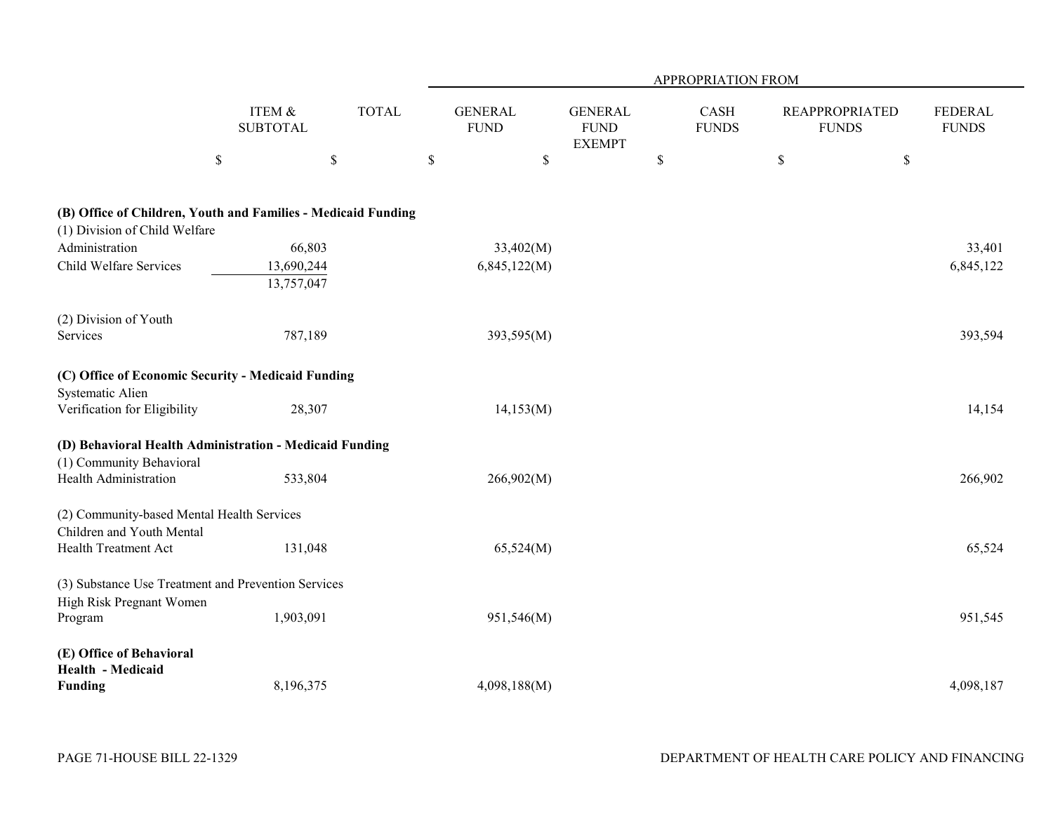|                                                                                                |                           |              |                               |                                                | APPROPRIATION FROM   |                                       |                                |
|------------------------------------------------------------------------------------------------|---------------------------|--------------|-------------------------------|------------------------------------------------|----------------------|---------------------------------------|--------------------------------|
|                                                                                                | ITEM &<br><b>SUBTOTAL</b> | <b>TOTAL</b> | <b>GENERAL</b><br><b>FUND</b> | <b>GENERAL</b><br><b>FUND</b><br><b>EXEMPT</b> | CASH<br><b>FUNDS</b> | <b>REAPPROPRIATED</b><br><b>FUNDS</b> | <b>FEDERAL</b><br><b>FUNDS</b> |
|                                                                                                | $\$$                      | \$           | \$                            | \$                                             | $\$$                 | \$<br>$\$$                            |                                |
| (B) Office of Children, Youth and Families - Medicaid Funding<br>(1) Division of Child Welfare |                           |              |                               |                                                |                      |                                       |                                |
| Administration                                                                                 | 66,803                    |              | 33,402(M)                     |                                                |                      |                                       | 33,401                         |
| Child Welfare Services                                                                         | 13,690,244<br>13,757,047  |              | 6,845,122(M)                  |                                                |                      |                                       | 6,845,122                      |
| (2) Division of Youth                                                                          |                           |              |                               |                                                |                      |                                       |                                |
| Services                                                                                       | 787,189                   |              | 393,595(M)                    |                                                |                      |                                       | 393,594                        |
| (C) Office of Economic Security - Medicaid Funding<br>Systematic Alien                         |                           |              |                               |                                                |                      |                                       |                                |
| Verification for Eligibility                                                                   | 28,307                    |              | 14,153(M)                     |                                                |                      |                                       | 14,154                         |
| (D) Behavioral Health Administration - Medicaid Funding<br>(1) Community Behavioral            |                           |              |                               |                                                |                      |                                       |                                |
| Health Administration                                                                          | 533,804                   |              | 266,902(M)                    |                                                |                      |                                       | 266,902                        |
| (2) Community-based Mental Health Services<br>Children and Youth Mental                        |                           |              |                               |                                                |                      |                                       |                                |
| Health Treatment Act                                                                           | 131,048                   |              | 65,524(M)                     |                                                |                      |                                       | 65,524                         |
| (3) Substance Use Treatment and Prevention Services<br>High Risk Pregnant Women                |                           |              |                               |                                                |                      |                                       |                                |
| Program                                                                                        | 1,903,091                 |              | 951,546(M)                    |                                                |                      |                                       | 951,545                        |
| (E) Office of Behavioral<br>Health - Medicaid                                                  |                           |              |                               |                                                |                      |                                       |                                |
| <b>Funding</b>                                                                                 | 8,196,375                 |              | 4,098,188(M)                  |                                                |                      |                                       | 4,098,187                      |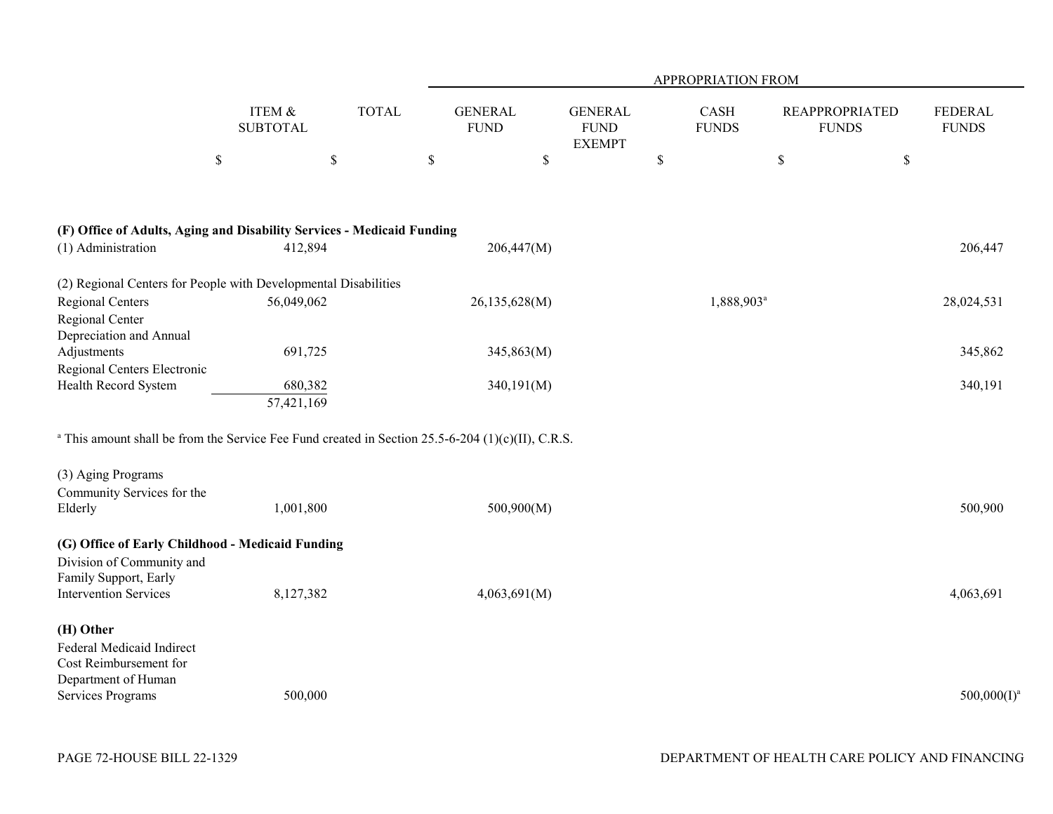|                                                                                                            |                           |              | APPROPRIATION FROM            |                                                |                        |                                       |      |                                |  |  |
|------------------------------------------------------------------------------------------------------------|---------------------------|--------------|-------------------------------|------------------------------------------------|------------------------|---------------------------------------|------|--------------------------------|--|--|
|                                                                                                            | ITEM &<br><b>SUBTOTAL</b> | <b>TOTAL</b> | <b>GENERAL</b><br><b>FUND</b> | <b>GENERAL</b><br><b>FUND</b><br><b>EXEMPT</b> | CASH<br><b>FUNDS</b>   | <b>REAPPROPRIATED</b><br><b>FUNDS</b> |      | <b>FEDERAL</b><br><b>FUNDS</b> |  |  |
|                                                                                                            | $\$$                      | \$           | \$                            | \$                                             | $\$$                   | \$                                    | $\$$ |                                |  |  |
|                                                                                                            |                           |              |                               |                                                |                        |                                       |      |                                |  |  |
| (F) Office of Adults, Aging and Disability Services - Medicaid Funding                                     |                           |              |                               |                                                |                        |                                       |      |                                |  |  |
| (1) Administration                                                                                         | 412,894                   |              | 206,447(M)                    |                                                |                        |                                       |      | 206,447                        |  |  |
| (2) Regional Centers for People with Developmental Disabilities                                            |                           |              |                               |                                                |                        |                                       |      |                                |  |  |
| Regional Centers                                                                                           | 56,049,062                |              | 26,135,628(M)                 |                                                | 1,888,903 <sup>a</sup> |                                       |      | 28,024,531                     |  |  |
| Regional Center<br>Depreciation and Annual                                                                 |                           |              |                               |                                                |                        |                                       |      |                                |  |  |
| Adjustments                                                                                                | 691,725                   |              | 345,863(M)                    |                                                |                        |                                       |      | 345,862                        |  |  |
| Regional Centers Electronic<br>Health Record System                                                        |                           |              |                               |                                                |                        |                                       |      | 340,191                        |  |  |
|                                                                                                            | 680,382<br>57,421,169     |              | 340,191(M)                    |                                                |                        |                                       |      |                                |  |  |
| $^{\circ}$ This amount shall be from the Service Fee Fund created in Section 25.5-6-204 (1)(c)(II), C.R.S. |                           |              |                               |                                                |                        |                                       |      |                                |  |  |
| (3) Aging Programs                                                                                         |                           |              |                               |                                                |                        |                                       |      |                                |  |  |
| Community Services for the<br>Elderly                                                                      | 1,001,800                 |              | 500,900(M)                    |                                                |                        |                                       |      | 500,900                        |  |  |
| (G) Office of Early Childhood - Medicaid Funding<br>Division of Community and<br>Family Support, Early     |                           |              |                               |                                                |                        |                                       |      |                                |  |  |
| <b>Intervention Services</b>                                                                               | 8,127,382                 |              | 4,063,691(M)                  |                                                |                        |                                       |      | 4,063,691                      |  |  |
| (H) Other<br>Federal Medicaid Indirect<br>Cost Reimbursement for<br>Department of Human                    |                           |              |                               |                                                |                        |                                       |      |                                |  |  |
| Services Programs                                                                                          | 500,000                   |              |                               |                                                |                        |                                       |      | $500,000(1)^a$                 |  |  |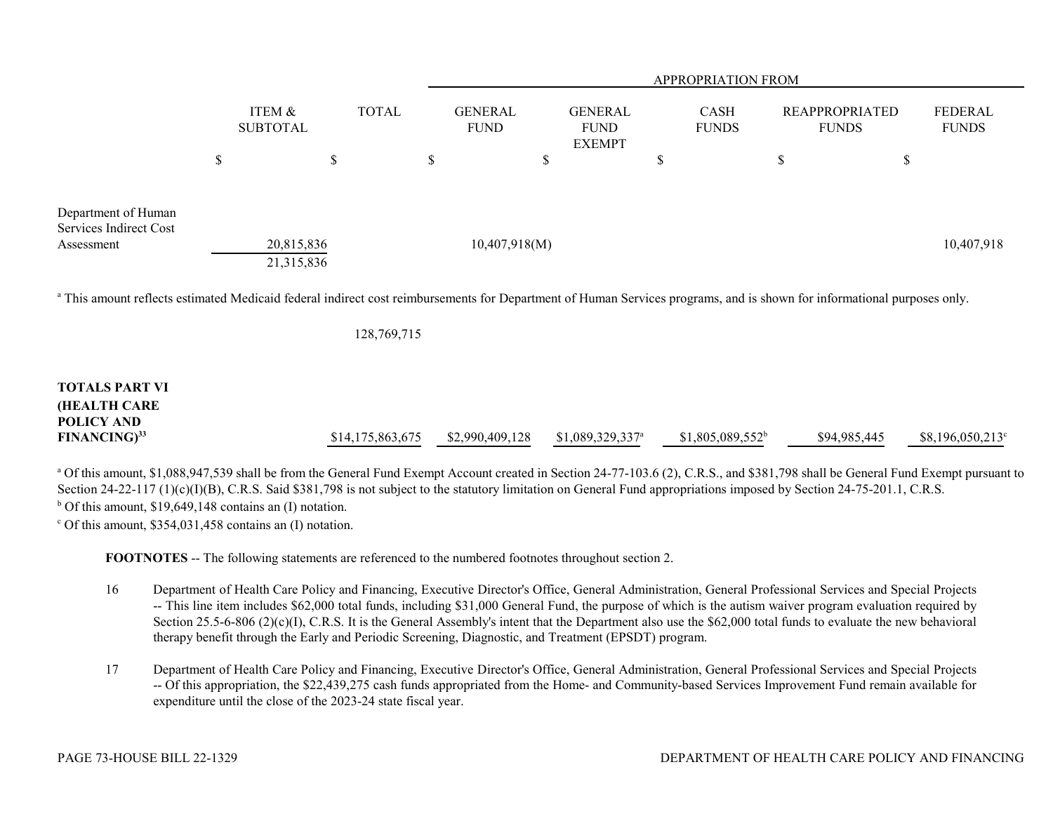|                                                             |               |                           |              | <b>APPROPRIATION FROM</b>     |                                                |                             |                                       |                                |  |  |
|-------------------------------------------------------------|---------------|---------------------------|--------------|-------------------------------|------------------------------------------------|-----------------------------|---------------------------------------|--------------------------------|--|--|
|                                                             |               | ITEM &<br><b>SUBTOTAL</b> | <b>TOTAL</b> | <b>GENERAL</b><br><b>FUND</b> | <b>GENERAL</b><br><b>FUND</b><br><b>EXEMPT</b> | <b>CASH</b><br><b>FUNDS</b> | <b>REAPPROPRIATED</b><br><b>FUNDS</b> | <b>FEDERAL</b><br><b>FUNDS</b> |  |  |
|                                                             | $\mathcal{S}$ | <b>Φ</b><br>D             | \$           |                               |                                                | D                           |                                       | J.D                            |  |  |
|                                                             |               |                           |              |                               |                                                |                             |                                       |                                |  |  |
| Department of Human<br>Services Indirect Cost<br>Assessment |               | 20,815,836                |              | 10,407,918(M)                 |                                                |                             |                                       | 10,407,918                     |  |  |
|                                                             |               | 21,315,836                |              |                               |                                                |                             |                                       |                                |  |  |

<sup>a</sup> This amount reflects estimated Medicaid federal indirect cost reimbursements for Department of Human Services programs, and is shown for informational purposes only.

128,769,715

# **TOTALS PART VI(HEALTH CARE POLICY ANDFINANCING)<sup>33</sup> \$14,175,863,675 \$2,990,409,128 \$1,089,329,337<sup>a</sup> \$1,805,089,552<sup>b</sup> \$94,985,445 \$8,196,050,213<sup>c</sup>**

<sup>a</sup> Of this amount, \$1,088,947,539 shall be from the General Fund Exempt Account created in Section 24-77-103.6 (2), C.R.S., and \$381,798 shall be General Fund Exempt pursuant to Section 24-22-117 (1)(c)(I)(B), C.R.S. Said \$381,798 is not subject to the statutory limitation on General Fund appropriations imposed by Section 24-75-201.1, C.R.S.  $<sup>b</sup>$  Of this amount, \$19,649,148 contains an (I) notation.</sup>

 $\degree$  Of this amount, \$354,031,458 contains an (I) notation.

**FOOTNOTES** -- The following statements are referenced to the numbered footnotes throughout section 2.

- 16 Department of Health Care Policy and Financing, Executive Director's Office, General Administration, General Professional Services and Special Projects -- This line item includes \$62,000 total funds, including \$31,000 General Fund, the purpose of which is the autism waiver program evaluation required by Section 25.5-6-806 (2)(c)(I), C.R.S. It is the General Assembly's intent that the Department also use the \$62,000 total funds to evaluate the new behavioral therapy benefit through the Early and Periodic Screening, Diagnostic, and Treatment (EPSDT) program.
- 17 Department of Health Care Policy and Financing, Executive Director's Office, General Administration, General Professional Services and Special Projects -- Of this appropriation, the \$22,439,275 cash funds appropriated from the Home- and Community-based Services Improvement Fund remain available for expenditure until the close of the 2023-24 state fiscal year.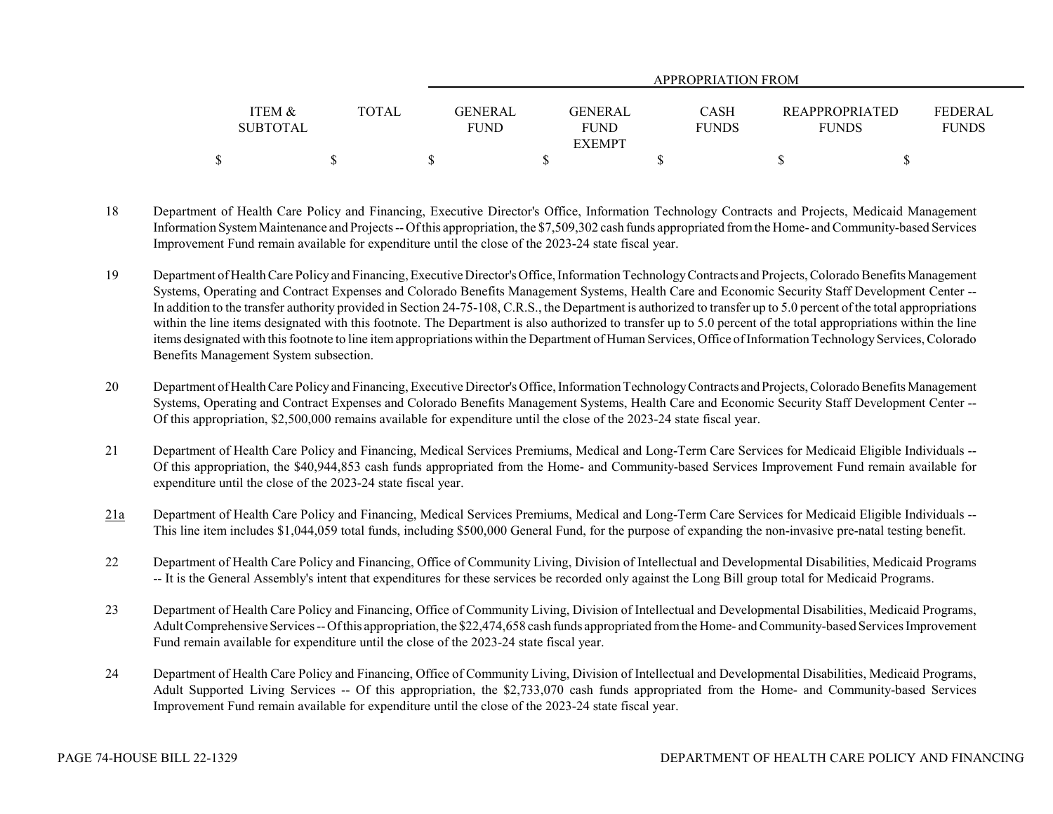|                   |              |                | APPROPRIATION FROM |              |                       |                |  |  |  |  |
|-------------------|--------------|----------------|--------------------|--------------|-----------------------|----------------|--|--|--|--|
|                   |              |                |                    |              |                       |                |  |  |  |  |
| <b>ITEM &amp;</b> | <b>TOTAL</b> | <b>GENERAL</b> | GENERAL            | <b>CASH</b>  | <b>REAPPROPRIATED</b> | <b>FEDERAL</b> |  |  |  |  |
| <b>SUBTOTAL</b>   |              | <b>FUND</b>    | <b>FUND</b>        | <b>FUNDS</b> | <b>FUNDS</b>          | <b>FUNDS</b>   |  |  |  |  |
|                   |              |                | <b>EXEMPT</b>      |              |                       |                |  |  |  |  |
|                   |              |                |                    |              |                       |                |  |  |  |  |

- 18 Department of Health Care Policy and Financing, Executive Director's Office, Information Technology Contracts and Projects, Medicaid Management Information System Maintenance and Projects -- Of this appropriation, the \$7,509,302 cash funds appropriated from the Home- and Community-based Services Improvement Fund remain available for expenditure until the close of the 2023-24 state fiscal year.
- 19 Department of Health Care Policy and Financing, Executive Director's Office, Information Technology Contracts and Projects, Colorado Benefits Management Systems, Operating and Contract Expenses and Colorado Benefits Management Systems, Health Care and Economic Security Staff Development Center -- In addition to the transfer authority provided in Section 24-75-108, C.R.S., the Department is authorized to transfer up to 5.0 percent of the total appropriations within the line items designated with this footnote. The Department is also authorized to transfer up to 5.0 percent of the total appropriations within the line items designated with this footnote to line item appropriations within the Department of Human Services, Office of Information Technology Services, Colorado Benefits Management System subsection.
- 20 Department of Health Care Policy and Financing, Executive Director's Office, Information Technology Contracts and Projects, Colorado Benefits Management Systems, Operating and Contract Expenses and Colorado Benefits Management Systems, Health Care and Economic Security Staff Development Center -- Of this appropriation, \$2,500,000 remains available for expenditure until the close of the 2023-24 state fiscal year.
- 21 Department of Health Care Policy and Financing, Medical Services Premiums, Medical and Long-Term Care Services for Medicaid Eligible Individuals -- Of this appropriation, the \$40,944,853 cash funds appropriated from the Home- and Community-based Services Improvement Fund remain available for expenditure until the close of the 2023-24 state fiscal year.
- 21a Department of Health Care Policy and Financing, Medical Services Premiums, Medical and Long-Term Care Services for Medicaid Eligible Individuals -- This line item includes \$1,044,059 total funds, including \$500,000 General Fund, for the purpose of expanding the non-invasive pre-natal testing benefit.
- 22 Department of Health Care Policy and Financing, Office of Community Living, Division of Intellectual and Developmental Disabilities, Medicaid Programs -- It is the General Assembly's intent that expenditures for these services be recorded only against the Long Bill group total for Medicaid Programs.
- 23 Department of Health Care Policy and Financing, Office of Community Living, Division of Intellectual and Developmental Disabilities, Medicaid Programs, Adult Comprehensive Services -- Of this appropriation, the \$22,474,658 cash funds appropriated from the Home- and Community-based Services Improvement Fund remain available for expenditure until the close of the 2023-24 state fiscal year.
- 24 Department of Health Care Policy and Financing, Office of Community Living, Division of Intellectual and Developmental Disabilities, Medicaid Programs, Adult Supported Living Services -- Of this appropriation, the \$2,733,070 cash funds appropriated from the Home- and Community-based Services Improvement Fund remain available for expenditure until the close of the 2023-24 state fiscal year.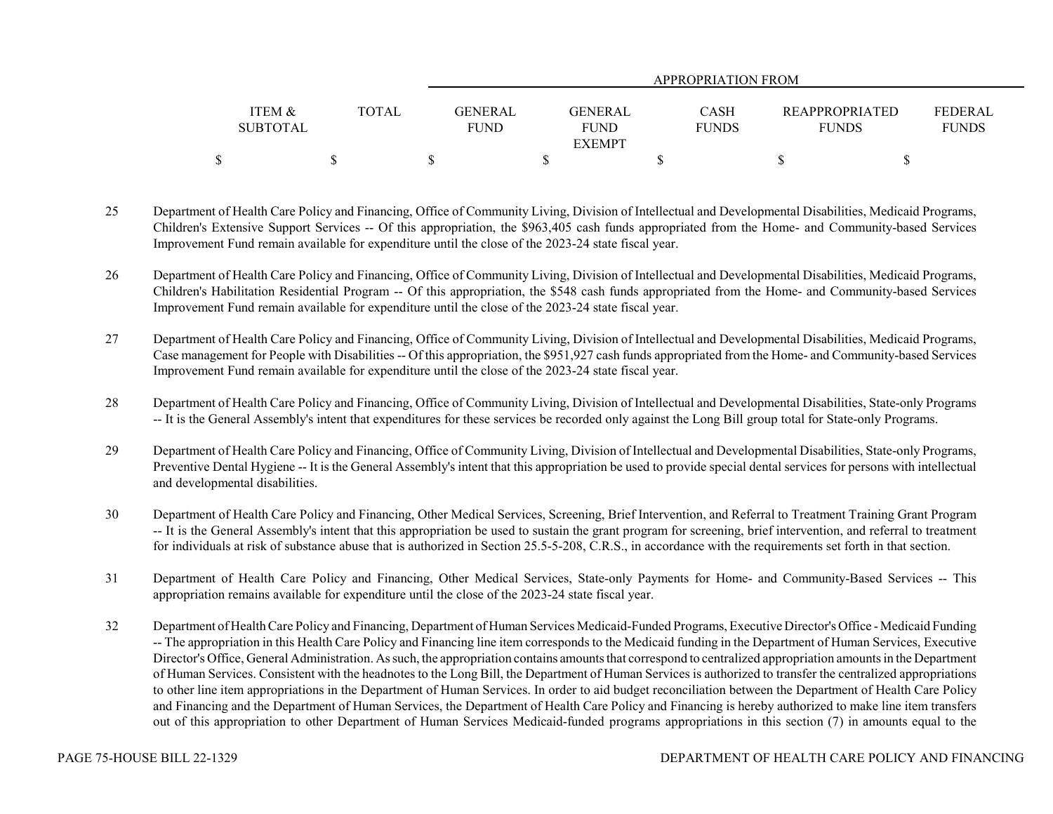|                 |              | APPROPRIATION FROM |                |  |              |                       |                |  |  |  |
|-----------------|--------------|--------------------|----------------|--|--------------|-----------------------|----------------|--|--|--|
|                 |              |                    |                |  |              |                       |                |  |  |  |
| ITEM &          | <b>TOTAL</b> | <b>GENERAL</b>     | <b>GENERAL</b> |  | <b>CASH</b>  | <b>REAPPROPRIATED</b> | <b>FEDERAL</b> |  |  |  |
| <b>SUBTOTAL</b> |              | <b>FUND</b>        | <b>FUND</b>    |  | <b>FUNDS</b> | <b>FUNDS</b>          | <b>FUNDS</b>   |  |  |  |
|                 |              |                    | <b>EXEMPT</b>  |  |              |                       |                |  |  |  |
|                 |              |                    |                |  |              |                       |                |  |  |  |

- 25 Department of Health Care Policy and Financing, Office of Community Living, Division of Intellectual and Developmental Disabilities, Medicaid Programs, Children's Extensive Support Services -- Of this appropriation, the \$963,405 cash funds appropriated from the Home- and Community-based Services Improvement Fund remain available for expenditure until the close of the 2023-24 state fiscal year.
- 26 Department of Health Care Policy and Financing, Office of Community Living, Division of Intellectual and Developmental Disabilities, Medicaid Programs, Children's Habilitation Residential Program -- Of this appropriation, the \$548 cash funds appropriated from the Home- and Community-based Services Improvement Fund remain available for expenditure until the close of the 2023-24 state fiscal year.
- 27 Department of Health Care Policy and Financing, Office of Community Living, Division of Intellectual and Developmental Disabilities, Medicaid Programs, Case management for People with Disabilities -- Of this appropriation, the \$951,927 cash funds appropriated from the Home- and Community-based Services Improvement Fund remain available for expenditure until the close of the 2023-24 state fiscal year.
- 28 Department of Health Care Policy and Financing, Office of Community Living, Division of Intellectual and Developmental Disabilities, State-only Programs -- It is the General Assembly's intent that expenditures for these services be recorded only against the Long Bill group total for State-only Programs.
- 29 Department of Health Care Policy and Financing, Office of Community Living, Division of Intellectual and Developmental Disabilities, State-only Programs, Preventive Dental Hygiene -- It is the General Assembly's intent that this appropriation be used to provide special dental services for persons with intellectual and developmental disabilities.
- 30 Department of Health Care Policy and Financing, Other Medical Services, Screening, Brief Intervention, and Referral to Treatment Training Grant Program -- It is the General Assembly's intent that this appropriation be used to sustain the grant program for screening, brief intervention, and referral to treatment for individuals at risk of substance abuse that is authorized in Section 25.5-5-208, C.R.S., in accordance with the requirements set forth in that section.
- 31 Department of Health Care Policy and Financing, Other Medical Services, State-only Payments for Home- and Community-Based Services -- This appropriation remains available for expenditure until the close of the 2023-24 state fiscal year.
- 32 Department of Health Care Policy and Financing, Department of Human Services Medicaid-Funded Programs, Executive Director's Office Medicaid Funding -- The appropriation in this Health Care Policy and Financing line item corresponds to the Medicaid funding in the Department of Human Services, Executive Director's Office, General Administration. As such, the appropriation contains amounts that correspond to centralized appropriation amounts in the Department of Human Services. Consistent with the headnotes to the Long Bill, the Department of Human Services is authorized to transfer the centralized appropriations to other line item appropriations in the Department of Human Services. In order to aid budget reconciliation between the Department of Health Care Policy and Financing and the Department of Human Services, the Department of Health Care Policy and Financing is hereby authorized to make line item transfers out of this appropriation to other Department of Human Services Medicaid-funded programs appropriations in this section (7) in amounts equal to the